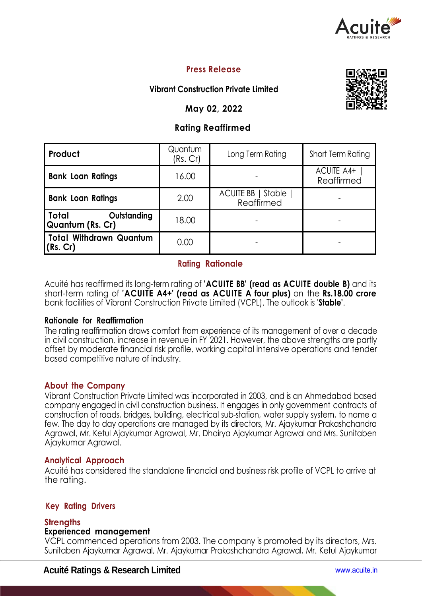

## **Press Release**

## **Vibrant Construction Private Limited**

## **May 02, 2022**

## **Rating Reaffirmed**

| Product                                         | Quantum<br>(Rs.Cr) | Long Term Rating                        | Short Term Rating               |  |
|-------------------------------------------------|--------------------|-----------------------------------------|---------------------------------|--|
| <b>Bank Loan Ratings</b>                        | 16.00              |                                         | <b>ACUITE A4+</b><br>Reaffirmed |  |
| <b>Bank Loan Ratings</b>                        | 2.00               | <b>ACUITE BB</b>   Stable<br>Reaffirmed |                                 |  |
| Total<br>Outstanding<br><b>Quantum (Rs. Cr)</b> | 18.00              |                                         |                                 |  |
| Total Withdrawn Quantum<br>(Rs. Cr)             | 0.00               |                                         |                                 |  |

## **Rating Rationale**

Acuité has reaffirmed its long-term rating of **'ACUITE BB' (read as ACUITE double B)** and its short-term rating of **'ACUITE A4+' (read as ACUITE A four plus)** on the **Rs.18.00 crore**  bank facilities of Vibrant Construction Private Limited (VCPL). The outlook is '**Stable'**.

#### **Rationale for Reaffirmation**

The rating reaffirmation draws comfort from experience of its management of over a decade in civil construction, increase in revenue in FY 2021. However, the above strengths are partly offset by moderate financial risk profile, working capital intensive operations and tender based competitive nature of industry.

#### **About the Company**

Vibrant Construction Private Limited was incorporated in 2003, and is an Ahmedabad based company engaged in civil construction business. It engages in only government contracts of construction of roads, bridges, building, electrical sub-station, water supply system, to name a few. The day to day operations are managed by its directors, Mr. Ajaykumar Prakashchandra Agrawal, Mr. Ketul Ajaykumar Agrawal, Mr. Dhairya Ajaykumar Agrawal and Mrs. Sunitaben Ajaykumar Agrawal.

#### **Analytical Approach**

Acuité has considered the standalone financial and business risk profile of VCPL to arrive at the rating.

#### **Key Rating Drivers**

#### **Strengths**

#### **Experienced management**

VCPL commenced operations from 2003. The company is promoted by its directors, Mrs. Sunitaben Ajaykumar Agrawal, Mr. Ajaykumar Prakashchandra Agrawal, Mr. Ketul Ajaykumar

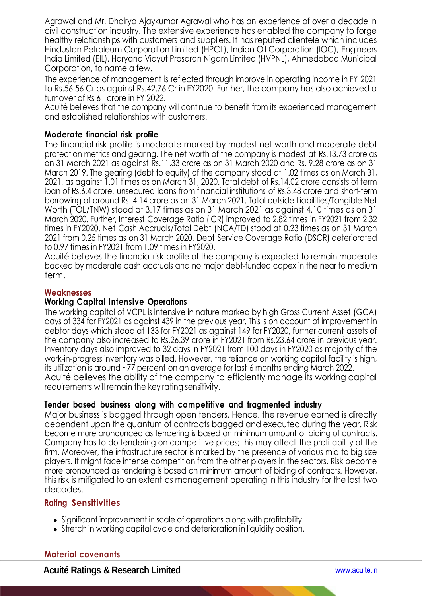Agrawal and Mr. Dhairya Ajaykumar Agrawal who has an experience of over a decade in civil construction industry. The extensive experience has enabled the company to forge healthy relationships with customers and suppliers. It has reputed clientele which includes Hindustan Petroleum Corporation Limited (HPCL), Indian Oil Corporation (IOC), Engineers India Limited (EIL), Haryana Vidyut Prasaran Nigam Limited (HVPNL), Ahmedabad Municipal Corporation, to name a few.

The experience of management is reflected through improve in operating income in FY 2021 to Rs.56.56 Cr as against Rs.42.76 Cr in FY2020. Further, the company has also achieved a turnover of Rs 61 crore in FY 2022.

Acuité believes that the company will continue to benefit from its experienced management and established relationships with customers.

## **Moderate financial risk profile**

The financial risk profile is moderate marked by modest net worth and moderate debt protection metrics and gearing. The net worth of the company is modest at Rs.13.73 crore as on 31 March 2021 as against Rs.11.33 crore as on 31 March 2020 and Rs. 9.28 crore as on 31 March 2019. The gearing (debt to equity) of the company stood at 1.02 times as on March 31, 2021, as against 1.01 times as on March 31, 2020. Total debt of Rs.14.02 crore consists of term loan of Rs.6.4 crore, unsecured loans from financial institutions of Rs.3.48 crore and short-term borrowing of around Rs. 4.14 crore as on 31 March 2021. Total outside Liabilities/Tangible Net Worth (TOL/TNW) stood at 3.17 times as on 31 March 2021 as against 4.10 times as on 31 March 2020. Further, Interest Coverage Ratio (ICR) improved to 2.82 times in FY2021 from 2.32 times in FY2020. Net Cash Accruals/Total Debt (NCA/TD) stood at 0.23 times as on 31 March 2021 from 0.25 times as on 31 March 2020. Debt Service Coverage Ratio (DSCR) deteriorated to 0.97 times in FY2021 from 1.09 times in FY2020.

Acuité believes the financial risk profile of the company is expected to remain moderate backed by moderate cash accruals and no major debt-funded capex in the near to medium term.

#### **Weaknesses**

#### **Working Capital Intensive Operations**

The working capital of VCPL is intensive in nature marked by high Gross Current Asset (GCA) days of 334 for FY2021 as against 439 in the previous year. This is on account of improvement in debtor days which stood at 133 for FY2021 as against 149 for FY2020, further current assets of the company also increased to Rs.26.39 crore in FY2021 from Rs.23.64 crore in previous year. Inventory days also improved to 32 days in FY2021 from 100 days in FY2020 as majority of the work-in-progress inventory was billed. However, the reliance on working capital facility is high, its utilization is around ~77 percent on an average for last 6 months ending March 2022. Acuité believes the ability of the company to efficiently manage its working capital requirements will remain the key rating sensitivity.

#### **Tender based business along with competitive and fragmented industry**

Major business is bagged through open tenders. Hence, the revenue earned is directly dependent upon the quantum of contracts bagged and executed during the year. Risk become more pronounced as tendering is based on minimum amount of biding of contracts. Company has to do tendering on competitive prices; this may affect the profitability of the firm. Moreover, the infrastructure sector is marked by the presence of various mid to big size players. It might face intense competition from the other players in the sectors. Risk become more pronounced as tendering is based on minimum amount of biding of contracts. However, this risk is mitigated to an extent as management operating in this industry for the last two decades.

#### **Rating Sensitivities**

- Significant improvement in scale of operations along with profitability.
- Stretch in working capital cycle and deterioration in liquidity position.

#### **Material covenants**

**Acuité Ratings & Research Limited** www.acuite.in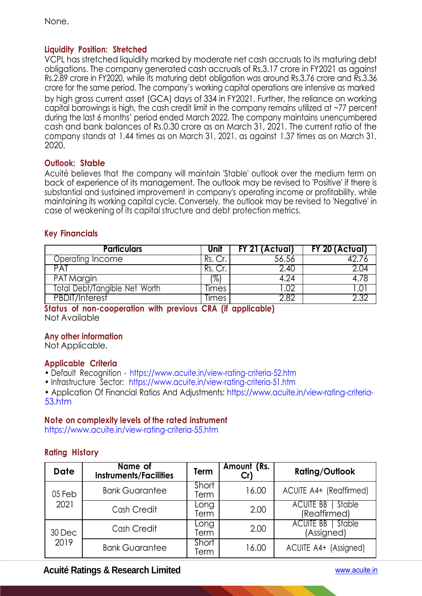None.

## **Liquidity Position: Stretched**

VCPL has stretched liquidity marked by moderate net cash accruals to its maturing debt obligations. The company generated cash accruals of Rs.3.17 crore in FY2021 as against Rs.2.89 crore in FY2020, while its maturing debt obligation was around Rs.3.76 crore and Rs.3.36 crore for the same period. The company's working capital operations are intensive as marked by high gross current asset (GCA) days of 334 in FY2021. Further, the reliance on working capital borrowings is high, the cash credit limit in the company remains utilized at ~77 percent during the last 6 months' period ended March 2022. The company maintains unencumbered cash and bank balances of Rs.0.30 crore as on March 31, 2021. The current ratio of the company stands at 1.44 times as on March 31, 2021, as against 1.37 times as on March 31, 2020.

## **Outlook: Stable**

Acuité believes that the company will maintain 'Stable' outlook over the medium term on back of experience of its management. The outlook may be revised to 'Positive' if there is substantial and sustained improvement in company's operating income or profitability, while maintaining its working capital cycle. Conversely, the outlook may be revised to 'Negative' in case of weakening of its capital structure and debt protection metrics.

## **Key Financials**

| <b>Particulars</b>            | Unit  | FY 21 (Actual) | FY 20 (Actual) |
|-------------------------------|-------|----------------|----------------|
| Operating Income              |       | 56.56          |                |
| PAT                           |       | 2.40           |                |
| PAT Margin                    | ′%,   | 4.74           |                |
| Total Debt/Tangible Net Worth | limes |                |                |
| <b>PBDIT/Interest</b>         | limes | רו פ           |                |

**Status of non-cooperation with previous CRA (if applicable)**  Not Available

## **Any other information**

Not Applicable.

#### **Applicable Criteria**

• Default Recognition - https://www.acuite.in/view-rating-criteria-52.htm

• Infrastructure Sector: https://www.acuite.in/view-rating-criteria-51.htm

• Application Of Financial Ratios And Adjustments: https://www.acuite.in/view-rating-criteria-53.htm

#### **Note on complexity levels of the rated instrument**

https://www.acuite.in/view-rating-criteria-55.htm

## **Rating History**

| <b>Date</b>    | Name of<br><b>Instruments/Facilities</b> | Term          | Amount (Rs. | <b>Rating/Outlook</b>                      |
|----------------|------------------------------------------|---------------|-------------|--------------------------------------------|
| 05 Feb         | <b>Bank Guarantee</b>                    | Short<br>Term | 16.00       | ACUITE A4+ (Reaffirmed)                    |
| 2021           | Cash Credit                              | Long<br>Term  | 2.00        | Stable<br><b>ACUITE BB</b><br>(Reaffirmed) |
| 30 Dec<br>2019 | Cash Credit                              | Long<br>Term  | 2.00        | ACUITE BB   Stable<br>(Assigned)           |
|                | <b>Bank Guarantee</b>                    | Short<br>Term | 16.00       | ACUITE A4+ (Assigned)                      |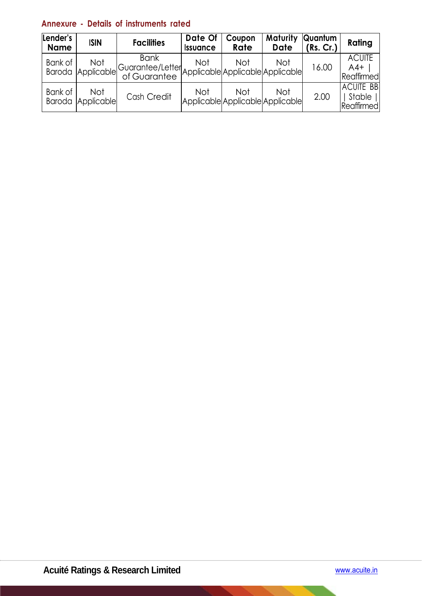# **Annexure - Details of instruments rated**

| Lender's<br><b>Name</b> | <b>ISIN</b>              | <b>Facilities</b>                                                                 | Date Of<br><i><b>Issuance</b></i>              | Coupon<br>Rate | Maturity<br><b>Date</b> | Quantum<br>(Rs. Cr.) | Rating                                      |
|-------------------------|--------------------------|-----------------------------------------------------------------------------------|------------------------------------------------|----------------|-------------------------|----------------------|---------------------------------------------|
| Bank of                 | Not<br>Baroda Applicable | <b>Bank</b><br>Guarantee/Letter Applicable Applicable Applicable <br>of Guarantee | <b>Not</b>                                     | <b>Not</b>     | Not                     | 16.00                | <b>ACUITE</b><br>$A4+$<br>Reaffirmed        |
| Bank of                 | Not<br>Baroda Applicable | Cash Credit                                                                       | <b>Not</b><br>Applicable Applicable Applicable | <b>Not</b>     | Not                     | 2.00                 | <b>ACUITE BB</b><br>Stable   <br>Reaffirmed |